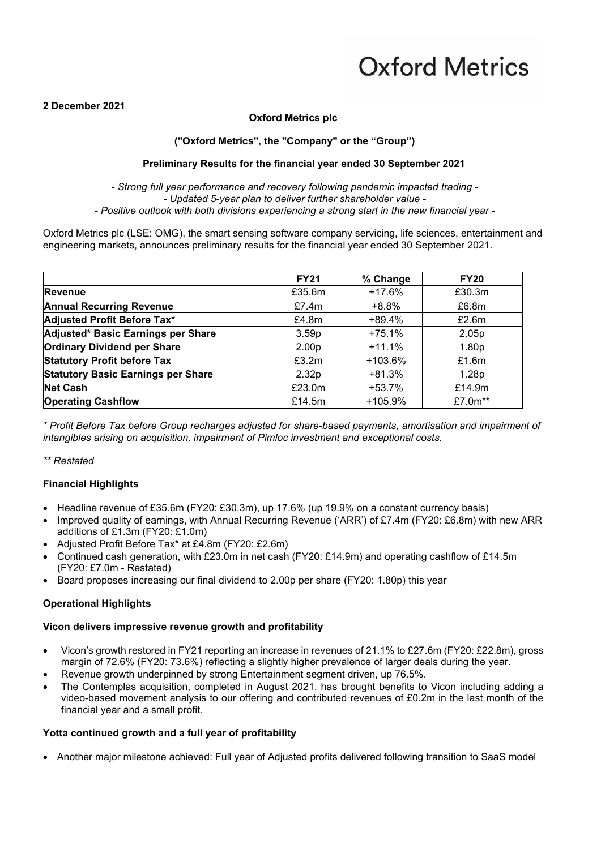### **2 December 2021**

### **Oxford Metrics plc**

### **("Oxford Metrics", the "Company" or the "Group")**

### **Preliminary Results for the financial year ended 30 September 2021**

*- Strong full year performance and recovery following pandemic impacted trading - - Updated 5-year plan to deliver further shareholder value - - Positive outlook with both divisions experiencing a strong start in the new financial year -*

Oxford Metrics plc (LSE: OMG), the smart sensing software company servicing, life sciences, entertainment and engineering markets, announces preliminary results for the financial year ended 30 September 2021.

|                                           | <b>FY21</b>       | % Change   | <b>FY20</b> |
|-------------------------------------------|-------------------|------------|-------------|
| Revenue                                   | £35.6m            | $+17.6%$   | £30.3m      |
| <b>Annual Recurring Revenue</b>           | £7.4 $m$          | $+8.8%$    | £6.8m       |
| Adjusted Profit Before Tax*               | £4.8m             | $+89.4%$   | £2.6m       |
| Adjusted* Basic Earnings per Share        | 3.59 <sub>p</sub> | $+75.1%$   | 2.05p       |
| <b>Ordinary Dividend per Share</b>        | 2.00 <sub>p</sub> | $+11.1%$   | 1.80p       |
| <b>Statutory Profit before Tax</b>        | £3.2m             | $+103.6\%$ | £1.6m       |
| <b>Statutory Basic Earnings per Share</b> | 2.32 <sub>p</sub> | $+81.3%$   | 1.28p       |
| <b>Net Cash</b>                           | £23.0m            | +53.7%     | £14.9m      |
| <b>Operating Cashflow</b>                 | £14.5 $m$         | $+105.9%$  | £7.0m**     |

*\* Profit Before Tax before Group recharges adjusted for share-based payments, amortisation and impairment of intangibles arising on acquisition, impairment of Pimloc investment and exceptional costs.*

*\*\* Restated*

### **Financial Highlights**

- Headline revenue of £35.6m (FY20: £30.3m), up 17.6% (up 19.9% on a constant currency basis)
- Improved quality of earnings, with Annual Recurring Revenue ('ARR') of £7.4m (FY20: £6.8m) with new ARR additions of £1.3m (FY20: £1.0m)
- Adjusted Profit Before Tax\* at £4.8m (FY20: £2.6m)
- Continued cash generation, with £23.0m in net cash (FY20: £14.9m) and operating cashflow of £14.5m (FY20: £7.0m - Restated)
- Board proposes increasing our final dividend to 2.00p per share (FY20: 1.80p) this year

#### **Operational Highlights**

### **Vicon delivers impressive revenue growth and profitability**

- Vicon's growth restored in FY21 reporting an increase in revenues of 21.1% to £27.6m (FY20: £22.8m), gross margin of 72.6% (FY20: 73.6%) reflecting a slightly higher prevalence of larger deals during the year.
- Revenue growth underpinned by strong Entertainment segment driven, up 76.5%.
- The Contemplas acquisition, completed in August 2021, has brought benefits to Vicon including adding a video-based movement analysis to our offering and contributed revenues of £0.2m in the last month of the financial year and a small profit.

### **Yotta continued growth and a full year of profitability**

• Another major milestone achieved: Full year of Adjusted profits delivered following transition to SaaS model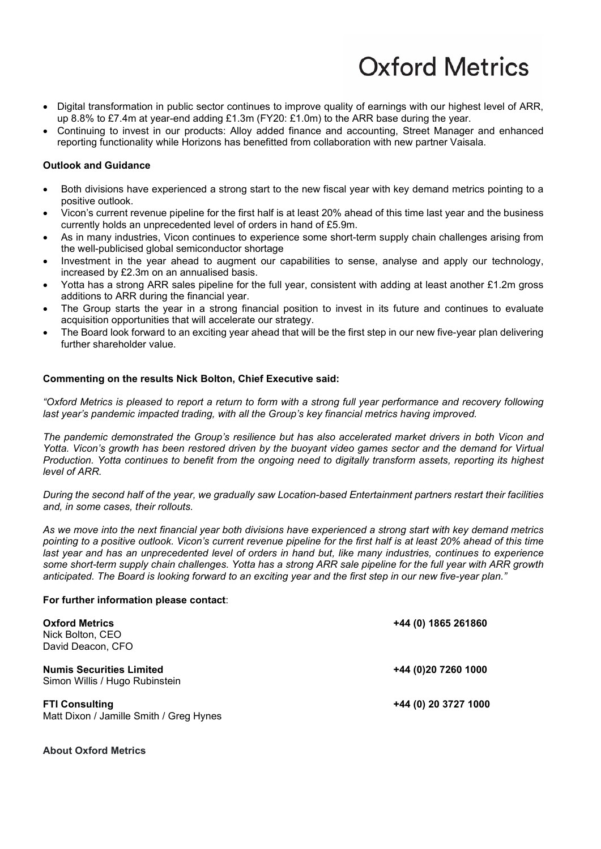- Digital transformation in public sector continues to improve quality of earnings with our highest level of ARR, up 8.8% to £7.4m at year-end adding £1.3m (FY20: £1.0m) to the ARR base during the year.
- Continuing to invest in our products: Alloy added finance and accounting, Street Manager and enhanced reporting functionality while Horizons has benefitted from collaboration with new partner Vaisala.

### **Outlook and Guidance**

- Both divisions have experienced a strong start to the new fiscal year with key demand metrics pointing to a positive outlook.
- Vicon's current revenue pipeline for the first half is at least 20% ahead of this time last year and the business currently holds an unprecedented level of orders in hand of £5.9m.
- As in many industries, Vicon continues to experience some short-term supply chain challenges arising from the well-publicised global semiconductor shortage
- Investment in the year ahead to augment our capabilities to sense, analyse and apply our technology, increased by £2.3m on an annualised basis.
- Yotta has a strong ARR sales pipeline for the full year, consistent with adding at least another £1.2m gross additions to ARR during the financial year.
- The Group starts the year in a strong financial position to invest in its future and continues to evaluate acquisition opportunities that will accelerate our strategy.
- The Board look forward to an exciting year ahead that will be the first step in our new five-year plan delivering further shareholder value.

### **Commenting on the results Nick Bolton, Chief Executive said:**

*"Oxford Metrics is pleased to report a return to form with a strong full year performance and recovery following last year's pandemic impacted trading, with all the Group's key financial metrics having improved.* 

*The pandemic demonstrated the Group's resilience but has also accelerated market drivers in both Vicon and Yotta. Vicon's growth has been restored driven by the buoyant video games sector and the demand for Virtual Production. Yotta continues to benefit from the ongoing need to digitally transform assets, reporting its highest level of ARR.* 

*During the second half of the year, we gradually saw Location-based Entertainment partners restart their facilities and, in some cases, their rollouts.*

*As we move into the next financial year both divisions have experienced a strong start with key demand metrics pointing to a positive outlook. Vicon's current revenue pipeline for the first half is at least 20% ahead of this time last year and has an unprecedented level of orders in hand but, like many industries, continues to experience some short-term supply chain challenges. Yotta has a strong ARR sale pipeline for the full year with ARR growth anticipated. The Board is looking forward to an exciting year and the first step in our new five-year plan."*

#### **For further information please contact**:

| <b>Oxford Metrics</b><br>Nick Bolton, CEO<br>David Deacon, CFO    | +44 (0) 1865 261860  |
|-------------------------------------------------------------------|----------------------|
| <b>Numis Securities Limited</b><br>Simon Willis / Hugo Rubinstein | +44 (0)20 7260 1000  |
| <b>FTI Consulting</b><br>Matt Dixon / Jamille Smith / Greg Hynes  | +44 (0) 20 3727 1000 |

#### **About Oxford Metrics**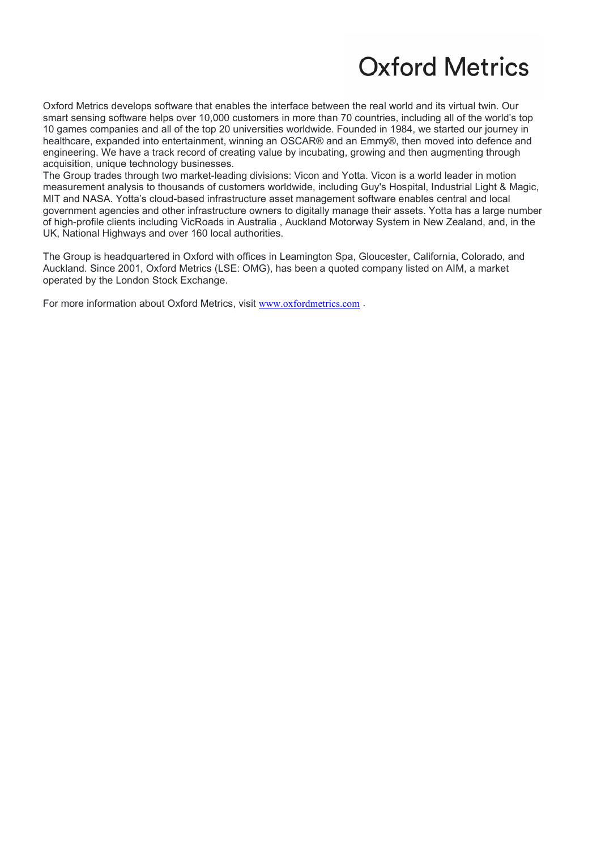Oxford Metrics develops software that enables the interface between the real world and its virtual twin. Our smart sensing software helps over 10,000 customers in more than 70 countries, including all of the world's top 10 games companies and all of the top 20 universities worldwide. Founded in 1984, we started our journey in healthcare, expanded into entertainment, winning an OSCAR® and an Emmy®, then moved into defence and engineering. We have a track record of creating value by incubating, growing and then augmenting through acquisition, unique technology businesses.

The Group trades through two market-leading divisions: Vicon and Yotta. Vicon is a world leader in motion measurement analysis to thousands of customers worldwide, including Guy's Hospital, Industrial Light & Magic, MIT and NASA. Yotta's cloud-based infrastructure asset management software enables central and local government agencies and other infrastructure owners to digitally manage their assets. Yotta has a large number of high-profile clients including VicRoads in Australia , Auckland Motorway System in New Zealand, and, in the UK, National Highways and over 160 local authorities.

The Group is headquartered in Oxford with offices in Leamington Spa, Gloucester, California, Colorado, and Auckland. Since 2001, Oxford Metrics (LSE: OMG), has been a quoted company listed on AIM, a market operated by the London Stock Exchange.

For more information about Oxford Metrics, visit [www.oxfordmetrics.com](http://www.oxfordmetrics.com/) .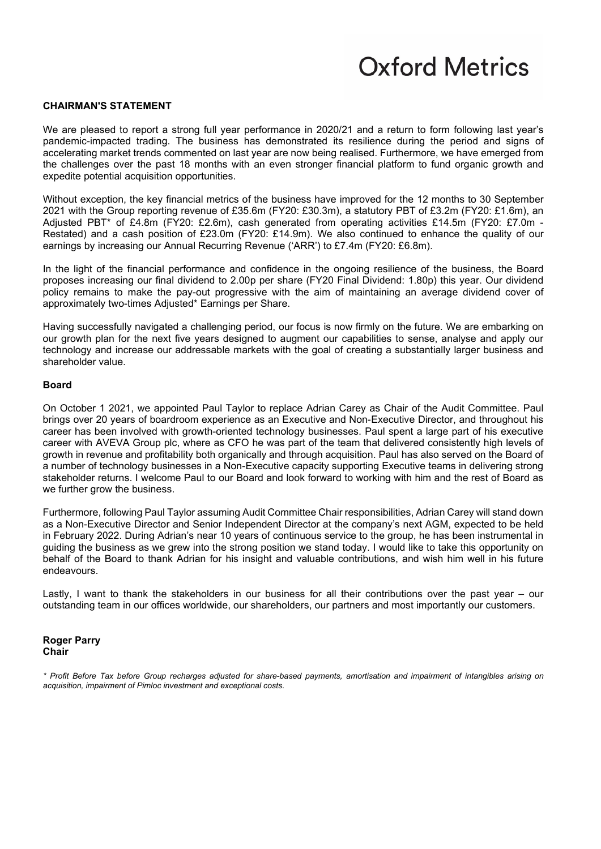### **CHAIRMAN'S STATEMENT**

We are pleased to report a strong full year performance in 2020/21 and a return to form following last year's pandemic-impacted trading. The business has demonstrated its resilience during the period and signs of accelerating market trends commented on last year are now being realised. Furthermore, we have emerged from the challenges over the past 18 months with an even stronger financial platform to fund organic growth and expedite potential acquisition opportunities.

Without exception, the key financial metrics of the business have improved for the 12 months to 30 September 2021 with the Group reporting revenue of £35.6m (FY20: £30.3m), a statutory PBT of £3.2m (FY20: £1.6m), an Adjusted PBT\* of £4.8m (FY20: £2.6m), cash generated from operating activities £14.5m (FY20: £7.0m - Restated) and a cash position of £23.0m (FY20: £14.9m). We also continued to enhance the quality of our earnings by increasing our Annual Recurring Revenue ('ARR') to £7.4m (FY20: £6.8m).

In the light of the financial performance and confidence in the ongoing resilience of the business, the Board proposes increasing our final dividend to 2.00p per share (FY20 Final Dividend: 1.80p) this year. Our dividend policy remains to make the pay-out progressive with the aim of maintaining an average dividend cover of approximately two-times Adjusted\* Earnings per Share.

Having successfully navigated a challenging period, our focus is now firmly on the future. We are embarking on our growth plan for the next five years designed to augment our capabilities to sense, analyse and apply our technology and increase our addressable markets with the goal of creating a substantially larger business and shareholder value.

#### **Board**

On October 1 2021, we appointed Paul Taylor to replace Adrian Carey as Chair of the Audit Committee. Paul brings over 20 years of boardroom experience as an Executive and Non-Executive Director, and throughout his career has been involved with growth-oriented technology businesses. Paul spent a large part of his executive career with AVEVA Group plc, where as CFO he was part of the team that delivered consistently high levels of growth in revenue and profitability both organically and through acquisition. Paul has also served on the Board of a number of technology businesses in a Non-Executive capacity supporting Executive teams in delivering strong stakeholder returns. I welcome Paul to our Board and look forward to working with him and the rest of Board as we further grow the business.

Furthermore, following Paul Taylor assuming Audit Committee Chair responsibilities, Adrian Carey will stand down as a Non-Executive Director and Senior Independent Director at the company's next AGM, expected to be held in February 2022. During Adrian's near 10 years of continuous service to the group, he has been instrumental in guiding the business as we grew into the strong position we stand today. I would like to take this opportunity on behalf of the Board to thank Adrian for his insight and valuable contributions, and wish him well in his future endeavours.

Lastly, I want to thank the stakeholders in our business for all their contributions over the past year – our outstanding team in our offices worldwide, our shareholders, our partners and most importantly our customers.

#### **Roger Parry Chair**

*<sup>\*</sup> Profit Before Tax before Group recharges adjusted for share-based payments, amortisation and impairment of intangibles arising on acquisition, impairment of Pimloc investment and exceptional costs.*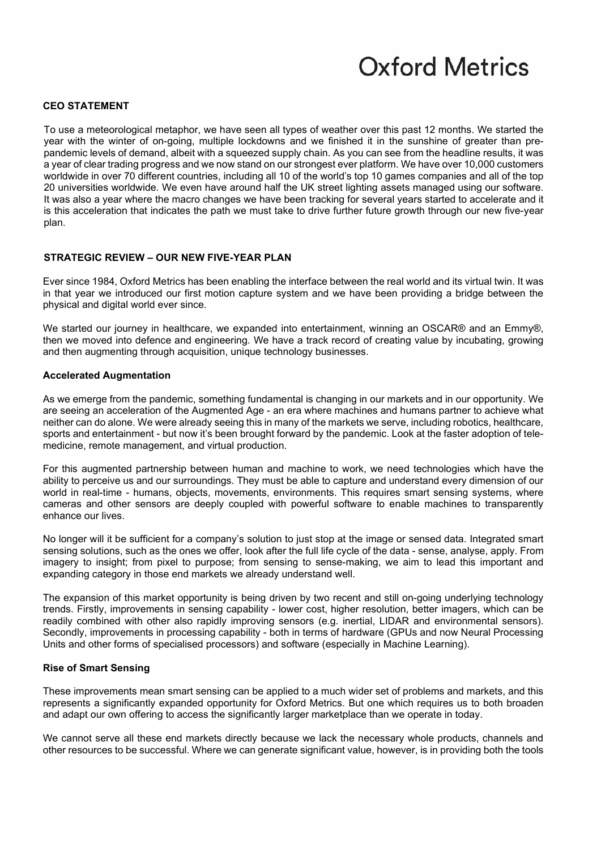### **CEO STATEMENT**

To use a meteorological metaphor, we have seen all types of weather over this past 12 months. We started the year with the winter of on-going, multiple lockdowns and we finished it in the sunshine of greater than prepandemic levels of demand, albeit with a squeezed supply chain. As you can see from the headline results, it was a year of clear trading progress and we now stand on our strongest ever platform. We have over 10,000 customers worldwide in over 70 different countries, including all 10 of the world's top 10 games companies and all of the top 20 universities worldwide. We even have around half the UK street lighting assets managed using our software. It was also a year where the macro changes we have been tracking for several years started to accelerate and it is this acceleration that indicates the path we must take to drive further future growth through our new five-year plan.

#### **STRATEGIC REVIEW – OUR NEW FIVE-YEAR PLAN**

Ever since 1984, Oxford Metrics has been enabling the interface between the real world and its virtual twin. It was in that year we introduced our first motion capture system and we have been providing a bridge between the physical and digital world ever since.

We started our journey in healthcare, we expanded into entertainment, winning an OSCAR® and an Emmy®, then we moved into defence and engineering. We have a track record of creating value by incubating, growing and then augmenting through acquisition, unique technology businesses.

#### **Accelerated Augmentation**

As we emerge from the pandemic, something fundamental is changing in our markets and in our opportunity. We are seeing an acceleration of the Augmented Age - an era where machines and humans partner to achieve what neither can do alone. We were already seeing this in many of the markets we serve, including robotics, healthcare, sports and entertainment - but now it's been brought forward by the pandemic. Look at the faster adoption of telemedicine, remote management, and virtual production.

For this augmented partnership between human and machine to work, we need technologies which have the ability to perceive us and our surroundings. They must be able to capture and understand every dimension of our world in real-time - humans, objects, movements, environments. This requires smart sensing systems, where cameras and other sensors are deeply coupled with powerful software to enable machines to transparently enhance our lives.

No longer will it be sufficient for a company's solution to just stop at the image or sensed data. Integrated smart sensing solutions, such as the ones we offer, look after the full life cycle of the data - sense, analyse, apply. From imagery to insight; from pixel to purpose; from sensing to sense-making, we aim to lead this important and expanding category in those end markets we already understand well.

The expansion of this market opportunity is being driven by two recent and still on-going underlying technology trends. Firstly, improvements in sensing capability - lower cost, higher resolution, better imagers, which can be readily combined with other also rapidly improving sensors (e.g. inertial, LIDAR and environmental sensors). Secondly, improvements in processing capability - both in terms of hardware (GPUs and now Neural Processing Units and other forms of specialised processors) and software (especially in Machine Learning).

#### **Rise of Smart Sensing**

These improvements mean smart sensing can be applied to a much wider set of problems and markets, and this represents a significantly expanded opportunity for Oxford Metrics. But one which requires us to both broaden and adapt our own offering to access the significantly larger marketplace than we operate in today.

We cannot serve all these end markets directly because we lack the necessary whole products, channels and other resources to be successful. Where we can generate significant value, however, is in providing both the tools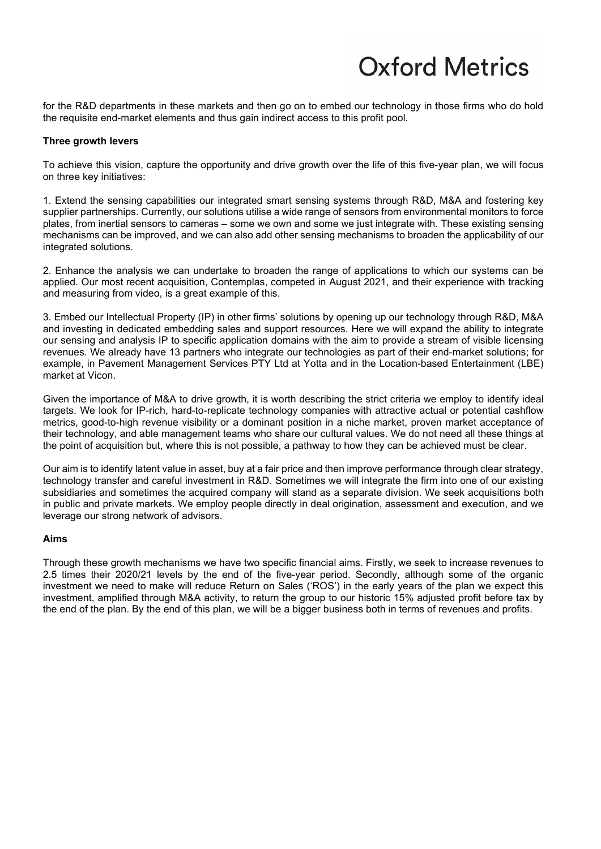for the R&D departments in these markets and then go on to embed our technology in those firms who do hold the requisite end-market elements and thus gain indirect access to this profit pool.

### **Three growth levers**

To achieve this vision, capture the opportunity and drive growth over the life of this five-year plan, we will focus on three key initiatives:

1. Extend the sensing capabilities our integrated smart sensing systems through R&D, M&A and fostering key supplier partnerships. Currently, our solutions utilise a wide range of sensors from environmental monitors to force plates, from inertial sensors to cameras – some we own and some we just integrate with. These existing sensing mechanisms can be improved, and we can also add other sensing mechanisms to broaden the applicability of our integrated solutions.

2. Enhance the analysis we can undertake to broaden the range of applications to which our systems can be applied. Our most recent acquisition, Contemplas, competed in August 2021, and their experience with tracking and measuring from video, is a great example of this.

3. Embed our Intellectual Property (IP) in other firms' solutions by opening up our technology through R&D, M&A and investing in dedicated embedding sales and support resources. Here we will expand the ability to integrate our sensing and analysis IP to specific application domains with the aim to provide a stream of visible licensing revenues. We already have 13 partners who integrate our technologies as part of their end-market solutions; for example, in Pavement Management Services PTY Ltd at Yotta and in the Location-based Entertainment (LBE) market at Vicon.

Given the importance of M&A to drive growth, it is worth describing the strict criteria we employ to identify ideal targets. We look for IP-rich, hard-to-replicate technology companies with attractive actual or potential cashflow metrics, good-to-high revenue visibility or a dominant position in a niche market, proven market acceptance of their technology, and able management teams who share our cultural values. We do not need all these things at the point of acquisition but, where this is not possible, a pathway to how they can be achieved must be clear.

Our aim is to identify latent value in asset, buy at a fair price and then improve performance through clear strategy, technology transfer and careful investment in R&D. Sometimes we will integrate the firm into one of our existing subsidiaries and sometimes the acquired company will stand as a separate division. We seek acquisitions both in public and private markets. We employ people directly in deal origination, assessment and execution, and we leverage our strong network of advisors.

#### **Aims**

Through these growth mechanisms we have two specific financial aims. Firstly, we seek to increase revenues to 2.5 times their 2020/21 levels by the end of the five-year period. Secondly, although some of the organic investment we need to make will reduce Return on Sales ('ROS') in the early years of the plan we expect this investment, amplified through M&A activity, to return the group to our historic 15% adjusted profit before tax by the end of the plan. By the end of this plan, we will be a bigger business both in terms of revenues and profits.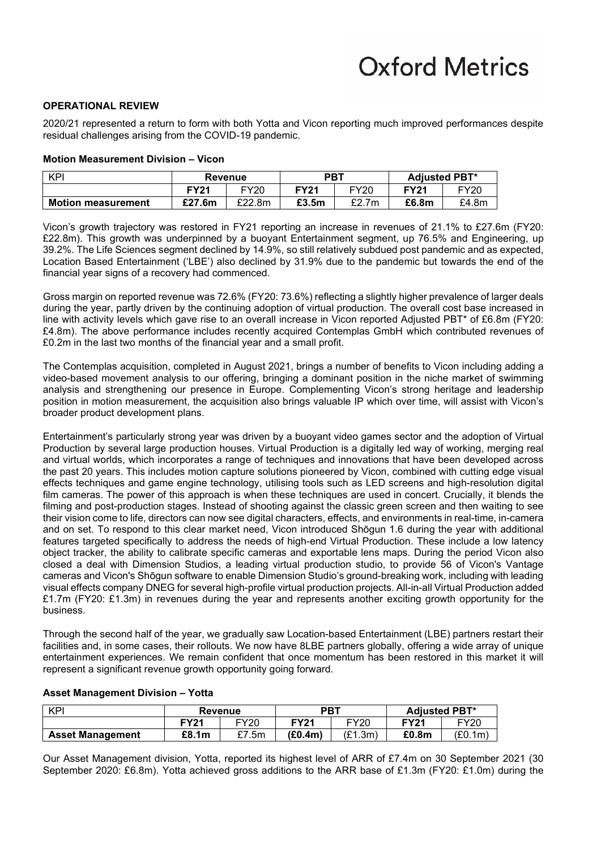### **OPERATIONAL REVIEW**

2020/21 represented a return to form with both Yotta and Vicon reporting much improved performances despite residual challenges arising from the COVID-19 pandemic.

#### **Motion Measurement Division – Vicon**

| <b>KPI</b>                | Revenue     |        | <b>PBT</b>  |             | <b>Adiusted PBT*</b> |       |
|---------------------------|-------------|--------|-------------|-------------|----------------------|-------|
|                           | <b>FY21</b> | FY20   | <b>FY21</b> | <b>FY20</b> |                      | FY20  |
| <b>Motion measurement</b> | £27.6m      | £22.8m | £3.5m       | £2.7m       | £6.8m                | £4.8m |

Vicon's growth trajectory was restored in FY21 reporting an increase in revenues of 21.1% to £27.6m (FY20: £22.8m). This growth was underpinned by a buoyant Entertainment segment, up 76.5% and Engineering, up 39.2%. The Life Sciences segment declined by 14.9%, so still relatively subdued post pandemic and as expected, Location Based Entertainment ('LBE') also declined by 31.9% due to the pandemic but towards the end of the financial year signs of a recovery had commenced.

Gross margin on reported revenue was 72.6% (FY20: 73.6%) reflecting a slightly higher prevalence of larger deals during the year, partly driven by the continuing adoption of virtual production. The overall cost base increased in line with activity levels which gave rise to an overall increase in Vicon reported Adjusted PBT\* of £6.8m (FY20: £4.8m). The above performance includes recently acquired Contemplas GmbH which contributed revenues of £0.2m in the last two months of the financial year and a small profit.

The Contemplas acquisition, completed in August 2021, brings a number of benefits to Vicon including adding a video-based movement analysis to our offering, bringing a dominant position in the niche market of swimming analysis and strengthening our presence in Europe. Complementing Vicon's strong heritage and leadership position in motion measurement, the acquisition also brings valuable IP which over time, will assist with Vicon's broader product development plans.

Entertainment's particularly strong year was driven by a buoyant video games sector and the adoption of Virtual Production by several large production houses. Virtual Production is a digitally led way of working, merging real and virtual worlds, which incorporates a range of techniques and innovations that have been developed across the past 20 years. This includes motion capture solutions pioneered by Vicon, combined with cutting edge visual effects techniques and game engine technology, utilising tools such as LED screens and high-resolution digital film cameras. The power of this approach is when these techniques are used in concert. Crucially, it blends the filming and post-production stages. Instead of shooting against the classic green screen and then waiting to see their vision come to life, directors can now see digital characters, effects, and environments in real-time, in-camera and on set. To respond to this clear market need, Vicon introduced Shōgun 1.6 during the year with additional features targeted specifically to address the needs of high-end Virtual Production. These include a low latency object tracker, the ability to calibrate specific cameras and exportable lens maps. During the period Vicon also closed a deal with Dimension Studios, a leading virtual production studio, to provide 56 of Vicon's Vantage cameras and Vicon's Shōgun software to enable Dimension Studio's ground-breaking work, including with leading visual effects company DNEG for several high-profile virtual production projects. All-in-all Virtual Production added £1.7m (FY20: £1.3m) in revenues during the year and represents another exciting growth opportunity for the business.

Through the second half of the year, we gradually saw Location-based Entertainment (LBE) partners restart their facilities and, in some cases, their rollouts. We now have 8LBE partners globally, offering a wide array of unique entertainment experiences. We remain confident that once momentum has been restored in this market it will represent a significant revenue growth opportunity going forward.

| KPI                     | Revenue |             | PBT         |             | <b>Adiusted PBT*</b> |             |
|-------------------------|---------|-------------|-------------|-------------|----------------------|-------------|
|                         | FY21    | <b>FY20</b> | <b>FY21</b> | <b>FY20</b> | <b>FY21</b>          | <b>FY20</b> |
| <b>Asset Management</b> | £8.1m   | £7.5m       | (E0.4m)     | (E1.3m)     | £0.8m                | (E0.1m)     |

### **Asset Management Division – Yotta**

Our Asset Management division, Yotta, reported its highest level of ARR of £7.4m on 30 September 2021 (30 September 2020: £6.8m). Yotta achieved gross additions to the ARR base of £1.3m (FY20: £1.0m) during the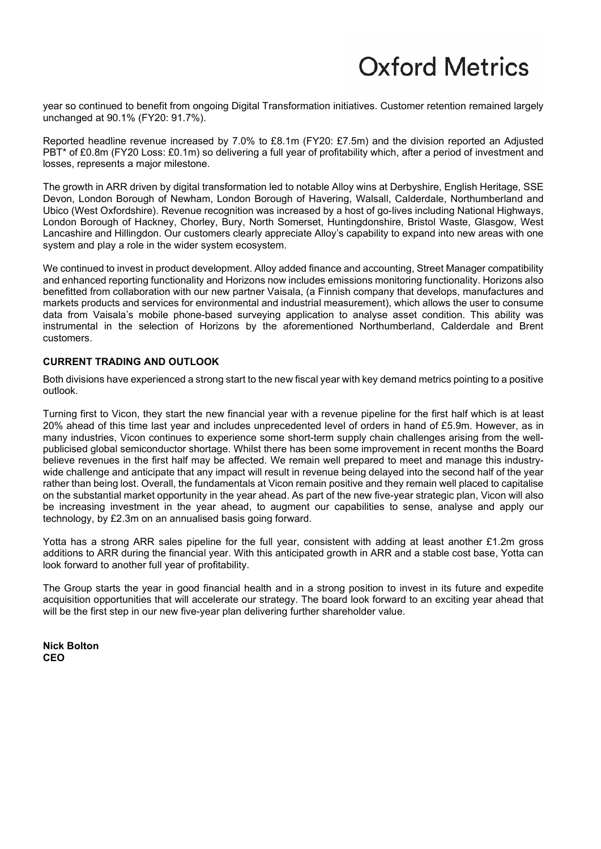year so continued to benefit from ongoing Digital Transformation initiatives. Customer retention remained largely unchanged at 90.1% (FY20: 91.7%).

Reported headline revenue increased by 7.0% to £8.1m (FY20: £7.5m) and the division reported an Adjusted PBT\* of £0.8m (FY20 Loss: £0.1m) so delivering a full year of profitability which, after a period of investment and losses, represents a major milestone.

The growth in ARR driven by digital transformation led to notable Alloy wins at Derbyshire, English Heritage, SSE Devon, London Borough of Newham, London Borough of Havering, Walsall, Calderdale, Northumberland and Ubico (West Oxfordshire). Revenue recognition was increased by a host of go-lives including National Highways, London Borough of Hackney, Chorley, Bury, North Somerset, Huntingdonshire, Bristol Waste, Glasgow, West Lancashire and Hillingdon. Our customers clearly appreciate Alloy's capability to expand into new areas with one system and play a role in the wider system ecosystem.

We continued to invest in product development. Alloy added finance and accounting, Street Manager compatibility and enhanced reporting functionality and Horizons now includes emissions monitoring functionality. Horizons also benefitted from collaboration with our new partner Vaisala, (a Finnish company that develops, manufactures and markets products and services for environmental and industrial measurement), which allows the user to consume data from Vaisala's mobile phone-based surveying application to analyse asset condition. This ability was instrumental in the selection of Horizons by the aforementioned Northumberland, Calderdale and Brent customers.

### **CURRENT TRADING AND OUTLOOK**

Both divisions have experienced a strong start to the new fiscal year with key demand metrics pointing to a positive outlook.

Turning first to Vicon, they start the new financial year with a revenue pipeline for the first half which is at least 20% ahead of this time last year and includes unprecedented level of orders in hand of £5.9m. However, as in many industries, Vicon continues to experience some short-term supply chain challenges arising from the wellpublicised global semiconductor shortage. Whilst there has been some improvement in recent months the Board believe revenues in the first half may be affected. We remain well prepared to meet and manage this industrywide challenge and anticipate that any impact will result in revenue being delayed into the second half of the year rather than being lost. Overall, the fundamentals at Vicon remain positive and they remain well placed to capitalise on the substantial market opportunity in the year ahead. As part of the new five-year strategic plan, Vicon will also be increasing investment in the year ahead, to augment our capabilities to sense, analyse and apply our technology, by £2.3m on an annualised basis going forward.

Yotta has a strong ARR sales pipeline for the full year, consistent with adding at least another £1.2m gross additions to ARR during the financial year. With this anticipated growth in ARR and a stable cost base, Yotta can look forward to another full year of profitability.

The Group starts the year in good financial health and in a strong position to invest in its future and expedite acquisition opportunities that will accelerate our strategy. The board look forward to an exciting year ahead that will be the first step in our new five-year plan delivering further shareholder value.

**Nick Bolton CEO**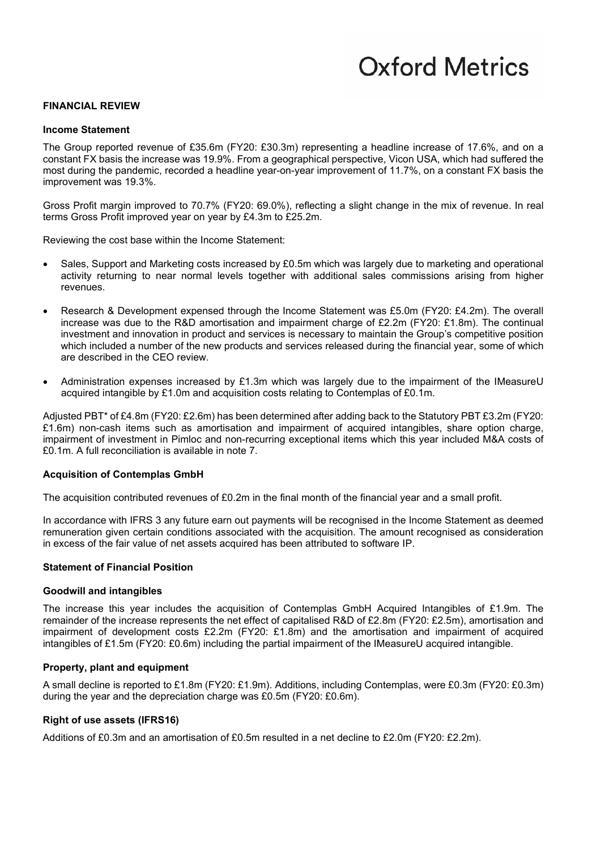#### **FINANCIAL REVIEW**

#### **Income Statement**

The Group reported revenue of £35.6m (FY20: £30.3m) representing a headline increase of 17.6%, and on a constant FX basis the increase was 19.9%. From a geographical perspective, Vicon USA, which had suffered the most during the pandemic, recorded a headline year-on-year improvement of 11.7%, on a constant FX basis the improvement was 19.3%.

Gross Profit margin improved to 70.7% (FY20: 69.0%), reflecting a slight change in the mix of revenue. In real terms Gross Profit improved year on year by £4.3m to £25.2m.

Reviewing the cost base within the Income Statement:

- Sales, Support and Marketing costs increased by £0.5m which was largely due to marketing and operational activity returning to near normal levels together with additional sales commissions arising from higher revenues.
- Research & Development expensed through the Income Statement was £5.0m (FY20: £4.2m). The overall increase was due to the R&D amortisation and impairment charge of £2.2m (FY20: £1.8m). The continual investment and innovation in product and services is necessary to maintain the Group's competitive position which included a number of the new products and services released during the financial year, some of which are described in the CEO review.
- Administration expenses increased by £1.3m which was largely due to the impairment of the IMeasureU acquired intangible by £1.0m and acquisition costs relating to Contemplas of £0.1m.

Adjusted PBT\* of £4.8m (FY20: £2.6m) has been determined after adding back to the Statutory PBT £3.2m (FY20: £1.6m) non-cash items such as amortisation and impairment of acquired intangibles, share option charge, impairment of investment in Pimloc and non-recurring exceptional items which this year included M&A costs of £0.1m. A full reconciliation is available in note 7.

#### **Acquisition of Contemplas GmbH**

The acquisition contributed revenues of £0.2m in the final month of the financial year and a small profit.

In accordance with IFRS 3 any future earn out payments will be recognised in the Income Statement as deemed remuneration given certain conditions associated with the acquisition. The amount recognised as consideration in excess of the fair value of net assets acquired has been attributed to software IP.

### **Statement of Financial Position**

#### **Goodwill and intangibles**

The increase this year includes the acquisition of Contemplas GmbH Acquired Intangibles of £1.9m. The remainder of the increase represents the net effect of capitalised R&D of £2.8m (FY20: £2.5m), amortisation and impairment of development costs £2.2m (FY20: £1.8m) and the amortisation and impairment of acquired intangibles of £1.5m (FY20: £0.6m) including the partial impairment of the IMeasureU acquired intangible.

#### **Property, plant and equipment**

A small decline is reported to £1.8m (FY20: £1.9m). Additions, including Contemplas, were £0.3m (FY20: £0.3m) during the year and the depreciation charge was £0.5m (FY20: £0.6m).

#### **Right of use assets (IFRS16)**

Additions of £0.3m and an amortisation of £0.5m resulted in a net decline to £2.0m (FY20: £2.2m).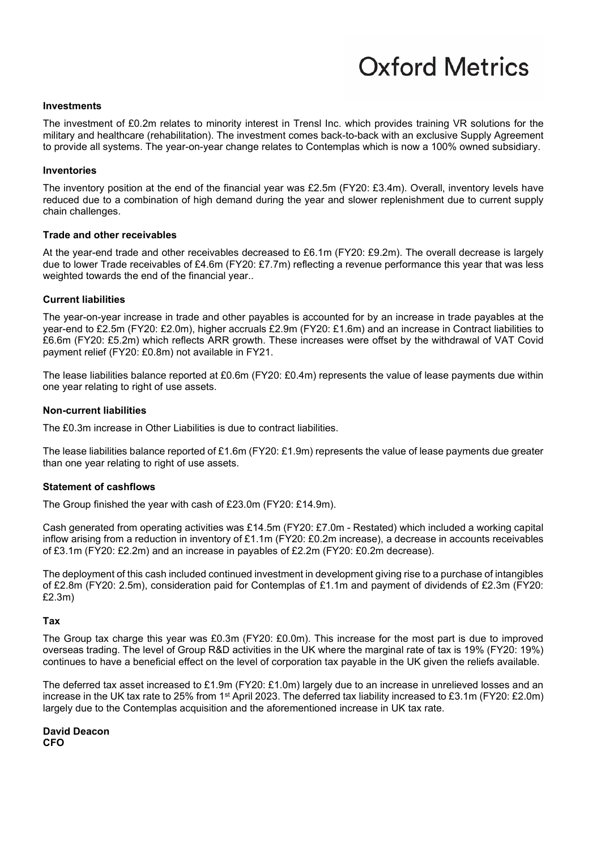### **Investments**

The investment of £0.2m relates to minority interest in Trensl Inc. which provides training VR solutions for the military and healthcare (rehabilitation). The investment comes back-to-back with an exclusive Supply Agreement to provide all systems. The year-on-year change relates to Contemplas which is now a 100% owned subsidiary.

#### **Inventories**

The inventory position at the end of the financial year was £2.5m (FY20: £3.4m). Overall, inventory levels have reduced due to a combination of high demand during the year and slower replenishment due to current supply chain challenges.

#### **Trade and other receivables**

At the year-end trade and other receivables decreased to £6.1m (FY20: £9.2m). The overall decrease is largely due to lower Trade receivables of £4.6m (FY20: £7.7m) reflecting a revenue performance this year that was less weighted towards the end of the financial year..

#### **Current liabilities**

The year-on-year increase in trade and other payables is accounted for by an increase in trade payables at the year-end to £2.5m (FY20: £2.0m), higher accruals £2.9m (FY20: £1.6m) and an increase in Contract liabilities to £6.6m (FY20: £5.2m) which reflects ARR growth. These increases were offset by the withdrawal of VAT Covid payment relief (FY20: £0.8m) not available in FY21.

The lease liabilities balance reported at £0.6m (FY20: £0.4m) represents the value of lease payments due within one year relating to right of use assets.

#### **Non-current liabilities**

The £0.3m increase in Other Liabilities is due to contract liabilities.

The lease liabilities balance reported of £1.6m (FY20: £1.9m) represents the value of lease payments due greater than one year relating to right of use assets.

#### **Statement of cashflows**

The Group finished the year with cash of £23.0m (FY20: £14.9m).

Cash generated from operating activities was £14.5m (FY20: £7.0m - Restated) which included a working capital inflow arising from a reduction in inventory of £1.1m (FY20: £0.2m increase), a decrease in accounts receivables of £3.1m (FY20: £2.2m) and an increase in payables of £2.2m (FY20: £0.2m decrease).

The deployment of this cash included continued investment in development giving rise to a purchase of intangibles of £2.8m (FY20: 2.5m), consideration paid for Contemplas of £1.1m and payment of dividends of £2.3m (FY20: £2.3m)

#### **Tax**

The Group tax charge this year was £0.3m (FY20: £0.0m). This increase for the most part is due to improved overseas trading. The level of Group R&D activities in the UK where the marginal rate of tax is 19% (FY20: 19%) continues to have a beneficial effect on the level of corporation tax payable in the UK given the reliefs available.

The deferred tax asset increased to £1.9m (FY20: £1.0m) largely due to an increase in unrelieved losses and an increase in the UK tax rate to 25% from 1st April 2023. The deferred tax liability increased to £3.1m (FY20: £2.0m) largely due to the Contemplas acquisition and the aforementioned increase in UK tax rate.

**David Deacon CFO**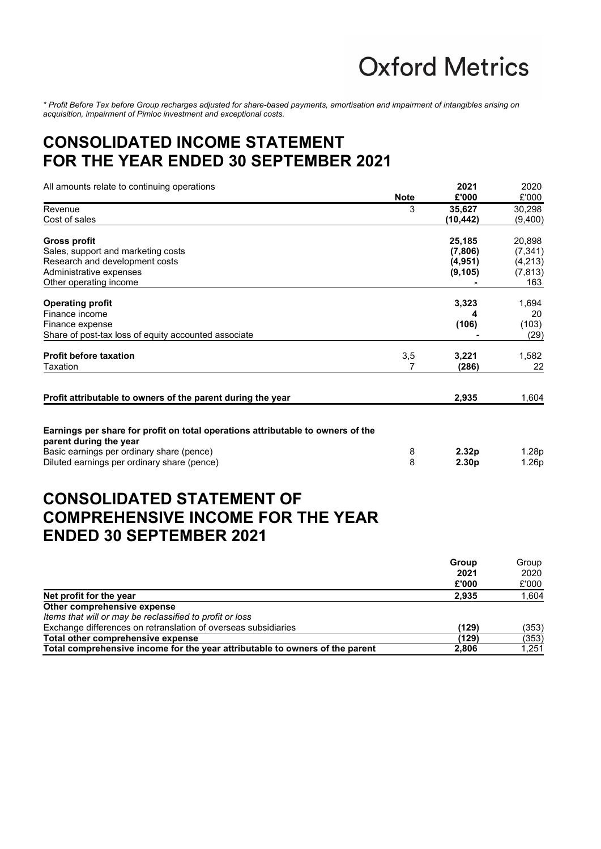*\* Profit Before Tax before Group recharges adjusted for share-based payments, amortisation and impairment of intangibles arising on acquisition, impairment of Pimloc investment and exceptional costs.*

### **CONSOLIDATED INCOME STATEMENT FOR THE YEAR ENDED 30 SEPTEMBER 2021**

| All amounts relate to continuing operations                                                               |             | 2021              | 2020     |
|-----------------------------------------------------------------------------------------------------------|-------------|-------------------|----------|
|                                                                                                           | <b>Note</b> | £'000             | £'000    |
| Revenue                                                                                                   | 3           | 35,627            | 30,298   |
| Cost of sales                                                                                             |             | (10, 442)         | (9,400)  |
| Gross profit                                                                                              |             | 25,185            | 20,898   |
| Sales, support and marketing costs                                                                        |             | (7,806)           | (7, 341) |
| Research and development costs                                                                            |             | (4,951)           | (4,213)  |
| Administrative expenses                                                                                   |             | (9, 105)          | (7, 813) |
| Other operating income                                                                                    |             |                   | 163      |
| <b>Operating profit</b>                                                                                   |             | 3,323             | 1,694    |
| Finance income                                                                                            |             | 4                 | 20       |
| Finance expense                                                                                           |             | (106)             | (103)    |
| Share of post-tax loss of equity accounted associate                                                      |             |                   | (29)     |
| <b>Profit before taxation</b>                                                                             | 3,5         | 3,221             | 1,582    |
| Taxation                                                                                                  | 7           | (286)             | 22       |
| Profit attributable to owners of the parent during the year                                               |             | 2,935             | 1,604    |
| Earnings per share for profit on total operations attributable to owners of the<br>parent during the year |             |                   |          |
| Basic earnings per ordinary share (pence)                                                                 | 8           | 2.32 <sub>p</sub> | 1.28p    |
| Diluted earnings per ordinary share (pence)                                                               | 8           | 2.30p             | 1.26p    |
| <b>CONSOLIDATED STATEMENT OF</b><br><b>COMPREHENSIVE INCOME FOR THE YEAR</b>                              |             |                   |          |

### **ENDED 30 SEPTEMBER 2021**

|                                                                              | Group<br>2021 | Group<br>2020 |
|------------------------------------------------------------------------------|---------------|---------------|
|                                                                              |               |               |
|                                                                              | £'000         | £'000         |
| Net profit for the year                                                      | 2.935         | 1,604         |
| Other comprehensive expense                                                  |               |               |
| Items that will or may be reclassified to profit or loss                     |               |               |
| Exchange differences on retranslation of overseas subsidiaries               | (129)         | (353)         |
| Total other comprehensive expense                                            | (129)         | (353)         |
| Total comprehensive income for the year attributable to owners of the parent | 2,806         | 1,251         |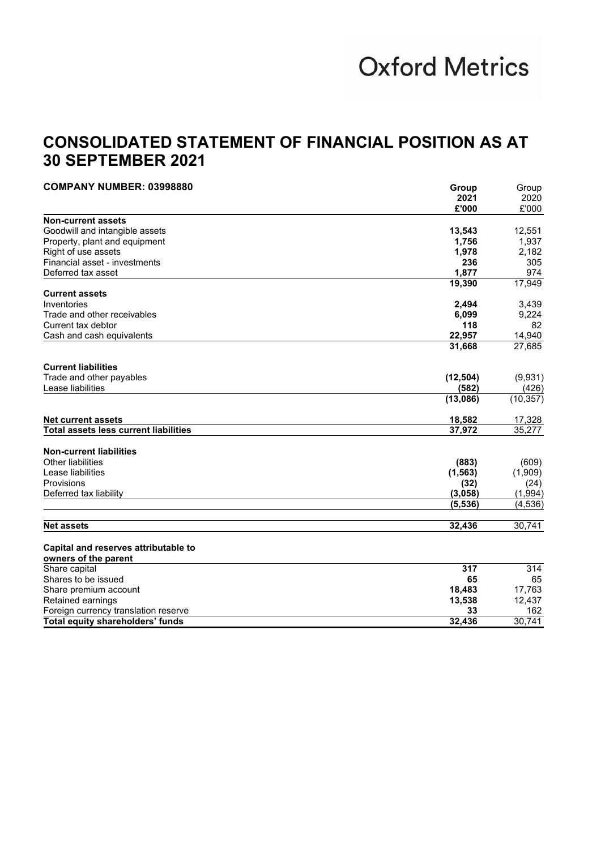### **CONSOLIDATED STATEMENT OF FINANCIAL POSITION AS AT 30 SEPTEMBER 2021**

| <b>COMPANY NUMBER: 03998880</b>              | Group     | Group     |
|----------------------------------------------|-----------|-----------|
|                                              | 2021      | 2020      |
|                                              | £'000     | £'000     |
| <b>Non-current assets</b>                    |           |           |
| Goodwill and intangible assets               | 13,543    | 12,551    |
| Property, plant and equipment                | 1,756     | 1,937     |
| Right of use assets                          | 1,978     | 2,182     |
| Financial asset - investments                | 236       | 305       |
| Deferred tax asset                           | 1,877     | 974       |
|                                              | 19,390    | 17,949    |
| <b>Current assets</b>                        |           |           |
| Inventories                                  | 2,494     | 3,439     |
| Trade and other receivables                  | 6,099     | 9,224     |
| Current tax debtor                           | 118       | 82        |
| Cash and cash equivalents                    | 22,957    | 14,940    |
|                                              | 31,668    | 27,685    |
| <b>Current liabilities</b>                   |           |           |
| Trade and other payables                     | (12, 504) | (9,931)   |
| Lease liabilities                            | (582)     | (426)     |
|                                              | (13,086)  | (10, 357) |
| <b>Net current assets</b>                    | 18,582    | 17,328    |
| <b>Total assets less current liabilities</b> | 37,972    | 35,277    |
| <b>Non-current liabilities</b>               |           |           |
| <b>Other liabilities</b>                     | (883)     | (609)     |
| Lease liabilities                            | (1, 563)  | (1,909)   |
| Provisions                                   | (32)      | (24)      |
| Deferred tax liability                       | (3,058)   | (1,994)   |
|                                              | (5, 536)  | (4, 536)  |
|                                              |           |           |
| <b>Net assets</b>                            | 32,436    | 30,741    |
| Capital and reserves attributable to         |           |           |
| owners of the parent                         |           |           |
| Share capital                                | 317       | 314       |
| Shares to be issued                          | 65        | 65        |
| Share premium account                        | 18,483    | 17,763    |
| Retained earnings                            | 13,538    | 12,437    |
| Foreign currency translation reserve         | 33        | 162       |
| Total equity shareholders' funds             | 32,436    | 30,741    |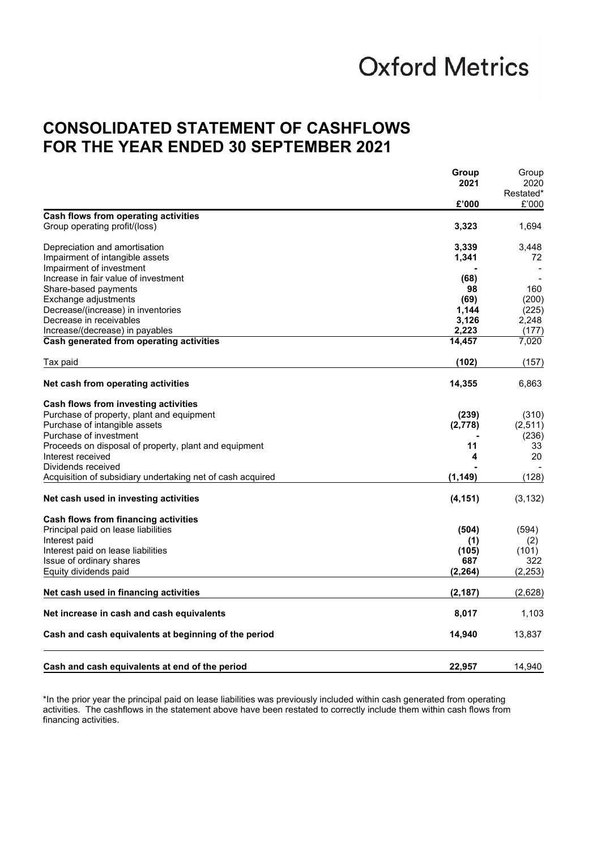### **CONSOLIDATED STATEMENT OF CASHFLOWS FOR THE YEAR ENDED 30 SEPTEMBER 2021**

|                                                            | Group    | Group<br>2020      |
|------------------------------------------------------------|----------|--------------------|
|                                                            | 2021     |                    |
|                                                            | £'000    | Restated*<br>£'000 |
| Cash flows from operating activities                       |          |                    |
| Group operating profit/(loss)                              | 3,323    | 1,694              |
| Depreciation and amortisation                              | 3,339    | 3.448              |
| Impairment of intangible assets                            | 1,341    | 72                 |
| Impairment of investment                                   |          |                    |
| Increase in fair value of investment                       | (68)     |                    |
| Share-based payments                                       | 98       | 160                |
| Exchange adjustments                                       | (69)     | (200)              |
| Decrease/(increase) in inventories                         | 1,144    | (225)              |
| Decrease in receivables                                    | 3,126    | 2,248              |
| Increase/(decrease) in payables                            | 2,223    | (177)              |
| Cash generated from operating activities                   | 14,457   | 7,020              |
| Tax paid                                                   | (102)    | (157)              |
| Net cash from operating activities                         | 14,355   | 6,863              |
| Cash flows from investing activities                       |          |                    |
| Purchase of property, plant and equipment                  | (239)    | (310)              |
| Purchase of intangible assets                              | (2,778)  | (2,511)            |
| Purchase of investment                                     |          | (236)              |
| Proceeds on disposal of property, plant and equipment      | 11       | 33                 |
| Interest received                                          | 4        | 20                 |
| Dividends received                                         |          |                    |
| Acquisition of subsidiary undertaking net of cash acquired | (1, 149) | (128)              |
| Net cash used in investing activities                      | (4, 151) | (3, 132)           |
| Cash flows from financing activities                       |          |                    |
| Principal paid on lease liabilities                        | (504)    | (594)              |
| Interest paid                                              | (1)      | (2)                |
| Interest paid on lease liabilities                         | (105)    | (101)              |
| Issue of ordinary shares                                   | 687      | 322                |
| Equity dividends paid                                      | (2, 264) | (2, 253)           |
| Net cash used in financing activities                      | (2, 187) | (2,628)            |
| Net increase in cash and cash equivalents                  | 8,017    | 1,103              |
| Cash and cash equivalents at beginning of the period       | 14,940   | 13,837             |
| Cash and cash equivalents at end of the period             | 22.957   | 14.940             |

\*In the prior year the principal paid on lease liabilities was previously included within cash generated from operating activities. The cashflows in the statement above have been restated to correctly include them within cash flows from financing activities.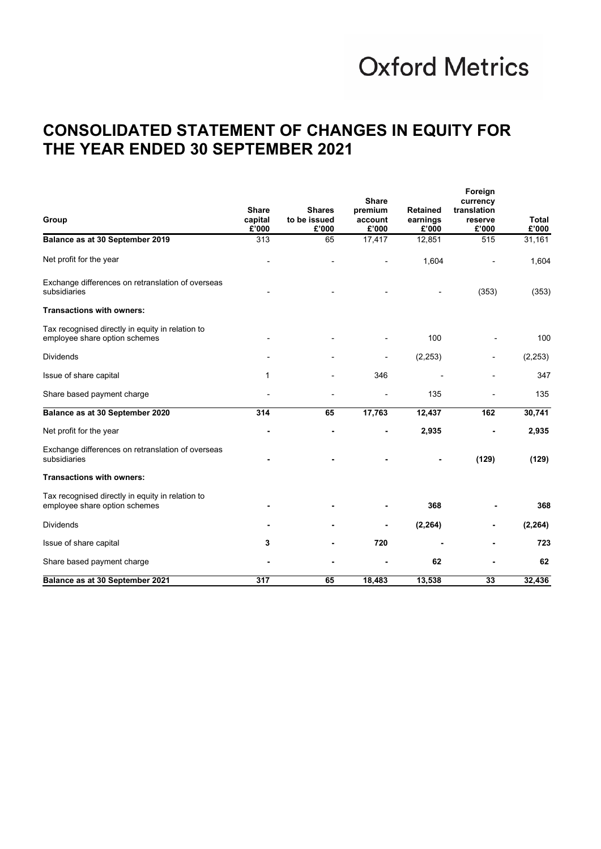### **CONSOLIDATED STATEMENT OF CHANGES IN EQUITY FOR THE YEAR ENDED 30 SEPTEMBER 2021**

| Group                                                                             | <b>Share</b><br>capital<br>£'000 | <b>Shares</b><br>to be issued<br>£'000 | <b>Share</b><br>premium<br>account<br>£'000 | <b>Retained</b><br>earnings<br>£'000 | Foreign<br>currency<br>translation<br>reserve<br>£'000 | Total<br>£'000 |
|-----------------------------------------------------------------------------------|----------------------------------|----------------------------------------|---------------------------------------------|--------------------------------------|--------------------------------------------------------|----------------|
| Balance as at 30 September 2019                                                   | 313                              | 65                                     | 17,417                                      | 12,851                               | 515                                                    | 31,161         |
| Net profit for the year                                                           |                                  |                                        |                                             | 1,604                                |                                                        | 1,604          |
| Exchange differences on retranslation of overseas<br>subsidiaries                 |                                  |                                        |                                             |                                      | (353)                                                  | (353)          |
| <b>Transactions with owners:</b>                                                  |                                  |                                        |                                             |                                      |                                                        |                |
| Tax recognised directly in equity in relation to<br>employee share option schemes |                                  |                                        |                                             | 100                                  |                                                        | 100            |
| <b>Dividends</b>                                                                  |                                  |                                        |                                             | (2, 253)                             |                                                        | (2, 253)       |
| Issue of share capital                                                            | 1                                |                                        | 346                                         |                                      |                                                        | 347            |
| Share based payment charge                                                        |                                  |                                        |                                             | 135                                  |                                                        | 135            |
| Balance as at 30 September 2020                                                   | 314                              | 65                                     | 17,763                                      | 12,437                               | 162                                                    | 30,741         |
| Net profit for the year                                                           |                                  |                                        |                                             | 2,935                                |                                                        | 2,935          |
| Exchange differences on retranslation of overseas<br>subsidiaries                 |                                  |                                        |                                             |                                      | (129)                                                  | (129)          |
| <b>Transactions with owners:</b>                                                  |                                  |                                        |                                             |                                      |                                                        |                |
| Tax recognised directly in equity in relation to<br>employee share option schemes |                                  |                                        |                                             | 368                                  |                                                        | 368            |
| <b>Dividends</b>                                                                  |                                  |                                        |                                             | (2, 264)                             |                                                        | (2, 264)       |
| Issue of share capital                                                            | 3                                |                                        | 720                                         |                                      |                                                        | 723            |
| Share based payment charge                                                        |                                  |                                        |                                             | 62                                   |                                                        | 62             |
| Balance as at 30 September 2021                                                   | 317                              | 65                                     | 18.483                                      | 13,538                               | 33                                                     | 32,436         |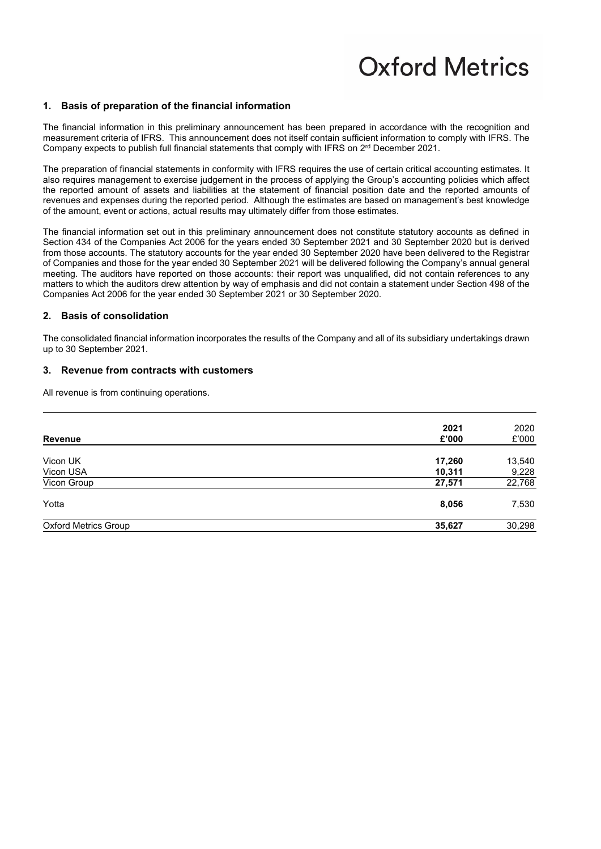#### **1. Basis of preparation of the financial information**

The financial information in this preliminary announcement has been prepared in accordance with the recognition and measurement criteria of IFRS. This announcement does not itself contain sufficient information to comply with IFRS. The Company expects to publish full financial statements that comply with IFRS on  $2<sup>rd</sup>$  December 2021.

The preparation of financial statements in conformity with IFRS requires the use of certain critical accounting estimates. It also requires management to exercise judgement in the process of applying the Group's accounting policies which affect the reported amount of assets and liabilities at the statement of financial position date and the reported amounts of revenues and expenses during the reported period. Although the estimates are based on management's best knowledge of the amount, event or actions, actual results may ultimately differ from those estimates.

The financial information set out in this preliminary announcement does not constitute statutory accounts as defined in Section 434 of the Companies Act 2006 for the years ended 30 September 2021 and 30 September 2020 but is derived from those accounts. The statutory accounts for the year ended 30 September 2020 have been delivered to the Registrar of Companies and those for the year ended 30 September 2021 will be delivered following the Company's annual general meeting. The auditors have reported on those accounts: their report was unqualified, did not contain references to any matters to which the auditors drew attention by way of emphasis and did not contain a statement under Section 498 of the Companies Act 2006 for the year ended 30 September 2021 or 30 September 2020.

#### **2. Basis of consolidation**

The consolidated financial information incorporates the results of the Company and all of its subsidiary undertakings drawn up to 30 September 2021.

#### **3. Revenue from contracts with customers**

All revenue is from continuing operations.

| <b>Revenue</b>              | 2021<br>£'000    | 2020<br>£'000   |
|-----------------------------|------------------|-----------------|
| Vicon UK<br>Vicon USA       | 17,260<br>10,311 | 13,540<br>9,228 |
| Vicon Group                 | 27,571           | 22,768          |
| Yotta                       | 8,056            | 7,530           |
| <b>Oxford Metrics Group</b> | 35,627           | 30,298          |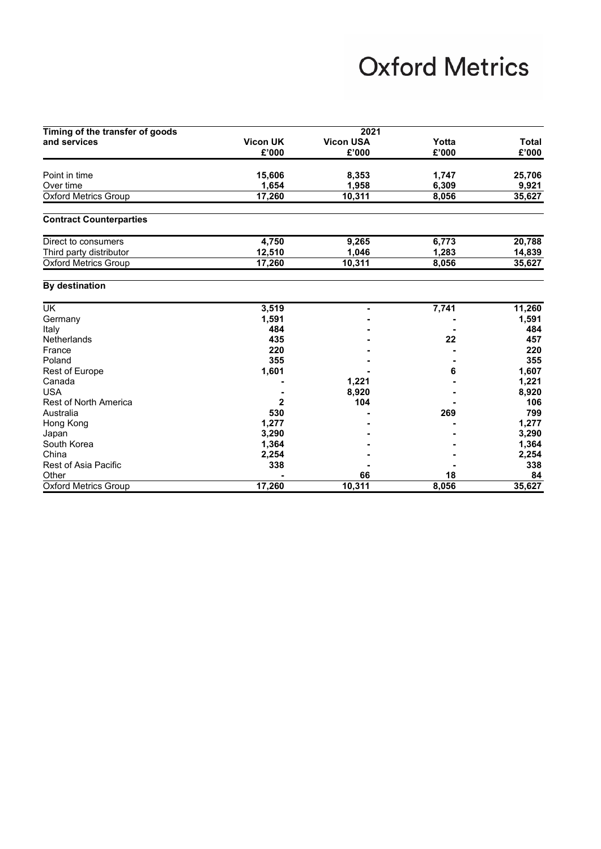| Timing of the transfer of goods | 2021            |                  |       |        |  |
|---------------------------------|-----------------|------------------|-------|--------|--|
| and services                    | <b>Vicon UK</b> | <b>Vicon USA</b> | Yotta | Total  |  |
|                                 | £'000           | £'000            | £'000 | £'000  |  |
|                                 |                 |                  |       |        |  |
| Point in time                   | 15,606          | 8,353            | 1,747 | 25,706 |  |
| Over time                       | 1,654           | 1,958            | 6,309 | 9,921  |  |
| <b>Oxford Metrics Group</b>     | 17,260          | 10,311           | 8,056 | 35,627 |  |
| <b>Contract Counterparties</b>  |                 |                  |       |        |  |
| Direct to consumers             | 4,750           | 9,265            | 6,773 | 20,788 |  |
| Third party distributor         | 12,510          | 1,046            | 1,283 | 14,839 |  |
| <b>Oxford Metrics Group</b>     | 17,260          | 10,311           | 8,056 | 35,627 |  |
| By destination                  |                 |                  |       |        |  |
| <b>UK</b>                       | 3,519           |                  | 7,741 | 11,260 |  |
| Germany                         | 1,591           |                  |       | 1,591  |  |
| Italy                           | 484             |                  |       | 484    |  |
| Netherlands                     | 435             |                  | 22    | 457    |  |
| France                          | 220             |                  |       | 220    |  |
| Poland                          | 355             |                  |       | 355    |  |
| Rest of Europe                  | 1,601           |                  | 6     | 1,607  |  |
| Canada                          |                 | 1,221            |       | 1,221  |  |
| <b>USA</b>                      |                 | 8,920            |       | 8,920  |  |
| <b>Rest of North America</b>    | 2               | 104              |       | 106    |  |
| Australia                       | 530             |                  | 269   | 799    |  |
| Hong Kong                       | 1,277           |                  |       | 1,277  |  |
| .lanan.                         | 3290            |                  |       | 3.290  |  |

|                              | $\sim$ $\sim$ |        |       |        |
|------------------------------|---------------|--------|-------|--------|
| Canada                       |               | 1,221  |       | 1,221  |
| <b>USA</b>                   |               | 8,920  |       | 8,920  |
| <b>Rest of North America</b> |               | 104    |       | 106    |
| Australia                    | 530           |        | 269   | 799    |
| Hong Kong                    | 1.277         |        |       | 1,277  |
| Japan                        | 3.290         |        |       | 3,290  |
| South Korea                  | 1,364         |        |       | 1,364  |
| China                        | 2.254         |        |       | 2,254  |
| Rest of Asia Pacific         | 338           |        |       | 338    |
| Other                        |               | 66     | 18    | 84     |
| <b>Oxford Metrics Group</b>  | 17,260        | 10,311 | 8,056 | 35,627 |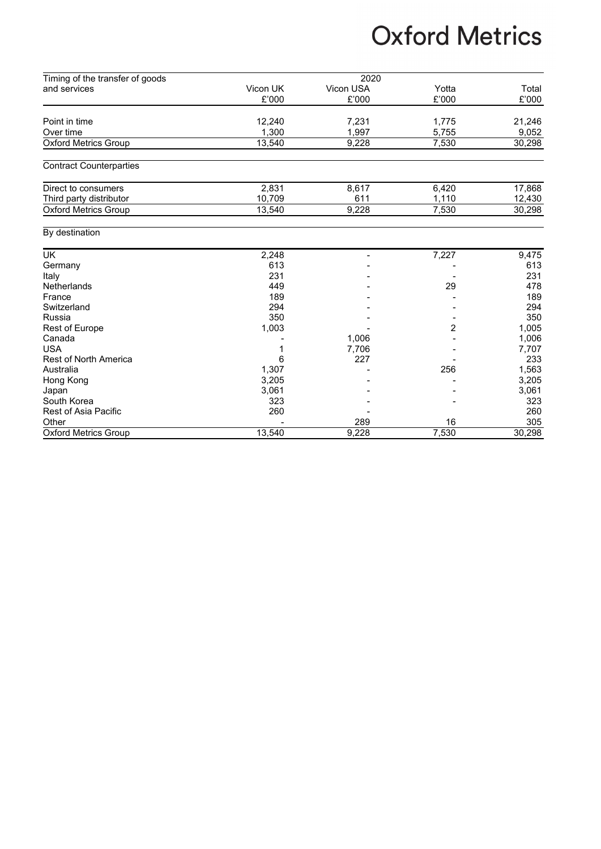| Timing of the transfer of goods |          | 2020      |       |        |
|---------------------------------|----------|-----------|-------|--------|
| and services                    | Vicon UK | Vicon USA | Yotta | Total  |
|                                 | £'000    | £'000     | £'000 | £'000  |
|                                 |          |           |       |        |
| Point in time                   | 12,240   | 7,231     | 1,775 | 21,246 |
| Over time                       | 1.300    | 1.997     | 5.755 | 9,052  |
| <b>Oxford Metrics Group</b>     | 13,540   | 9,228     | 7,530 | 30,298 |
| <b>Contract Counterparties</b>  |          |           |       |        |
| Direct to consumers             | 2,831    | 8,617     | 6,420 | 17,868 |
| Third party distributor         | 10,709   | 611       | 1,110 | 12,430 |
| <b>Oxford Metrics Group</b>     | 13,540   | 9,228     | 7,530 | 30,298 |
| By destination                  |          |           |       |        |
| <b>UK</b>                       | 2,248    |           | 7,227 | 9,475  |
| Germany                         | 613      |           |       | 613    |
| Italy                           | 231      |           |       | 231    |
| Netherlands                     | 449      |           | 29    | 478    |
| France                          | 189      |           |       | 189    |
| Switzerland                     | 294      |           |       | 294    |
| <b>Russia</b>                   | 350      |           |       | 350    |
| <b>Rest of Europe</b>           | 1,003    |           | 2     | 1,005  |
| Canada                          |          | 1,006     |       | 1,006  |
| <b>USA</b>                      |          | 7,706     |       | 7,707  |
| <b>Rest of North America</b>    | 6        | 227       |       | 233    |
| Australia                       | 1,307    |           | 256   | 1,563  |
| Hong Kong                       | 3,205    |           |       | 3,205  |
| Japan                           | 3,061    |           |       | 3,061  |
| South Korea                     | 323      |           |       | 323    |
| Rest of Asia Pacific            | 260      |           |       | 260    |
| Other                           |          | 289       | 16    | 305    |
| <b>Oxford Metrics Group</b>     | 13,540   | 9,228     | 7,530 | 30,298 |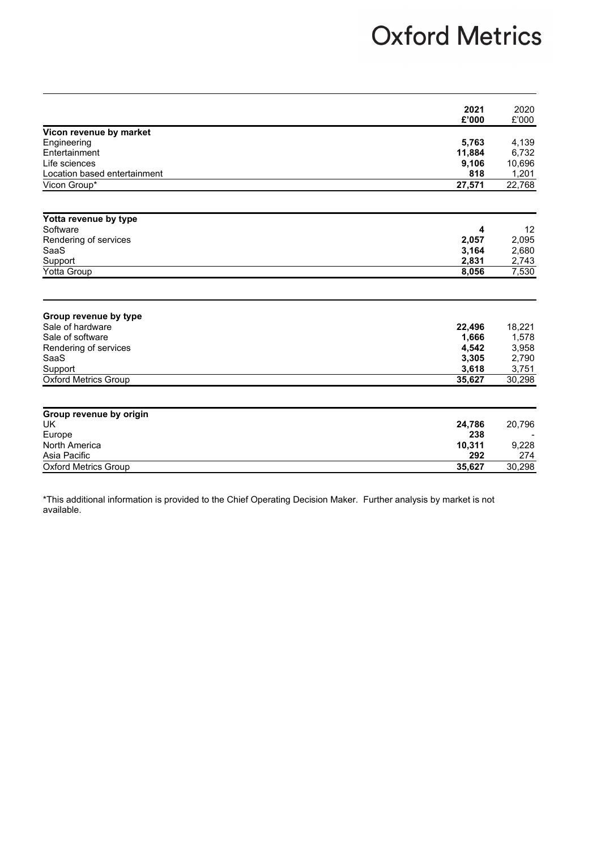|                              | 2021   | 2020               |
|------------------------------|--------|--------------------|
|                              | £'000  | £'000              |
| Vicon revenue by market      |        |                    |
| Engineering                  | 5,763  | 4,139              |
| Entertainment                | 11,884 | 6,732              |
| Life sciences                | 9,106  | 10,696             |
| Location based entertainment | 818    | 1,201              |
| Vicon Group*                 | 27,571 | 22,768             |
| Yotta revenue by type        |        |                    |
| Software                     | 4      | 12                 |
| Rendering of services        | 2,057  | 2,095              |
| SaaS                         | 3,164  | 2,680              |
| Support                      | 2,831  | 2,743              |
| Yotta Group                  | 8,056  | $\overline{7},530$ |
|                              |        |                    |
| Group revenue by type        |        |                    |
| Sale of hardware             | 22,496 | 18,221             |
| Sale of software             | 1,666  | 1,578              |
| Rendering of services        | 4,542  | 3,958              |
| SaaS                         | 3,305  | 2,790              |
| Support                      | 3,618  | 3,751              |
| <b>Oxford Metrics Group</b>  | 35,627 | 30,298             |
|                              |        |                    |
| Group revenue by origin      |        |                    |
| <b>UK</b>                    | 24,786 | 20,796             |
| Europe                       | 238    |                    |
| North America                | 10,311 | 9,228              |
| Asia Pacific                 | 292    | 274                |
| <b>Oxford Metrics Group</b>  | 35,627 | 30,298             |

\*This additional information is provided to the Chief Operating Decision Maker. Further analysis by market is not available.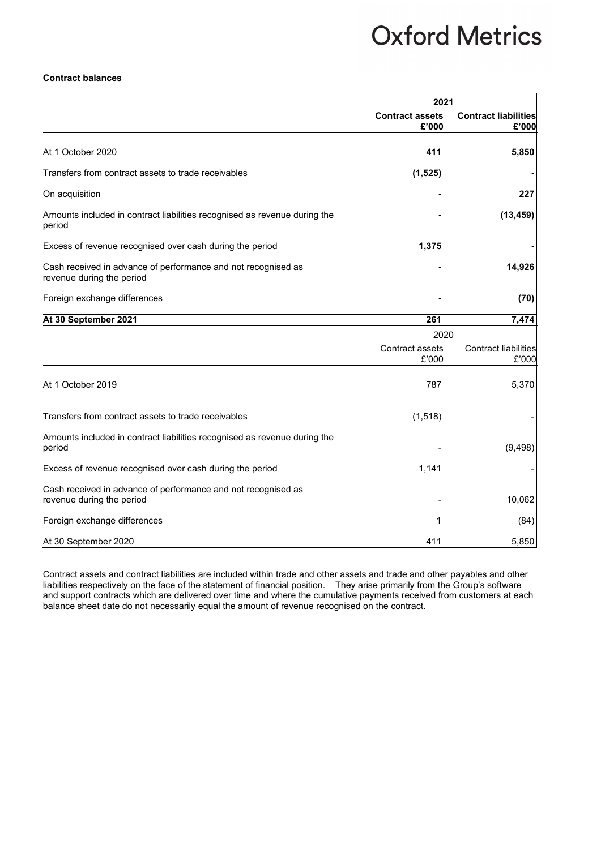#### **Contract balances**

|                                                                                            | 2021                            |                                      |  |
|--------------------------------------------------------------------------------------------|---------------------------------|--------------------------------------|--|
|                                                                                            | <b>Contract assets</b><br>£'000 | <b>Contract liabilities</b><br>£'000 |  |
| At 1 October 2020                                                                          | 411                             | 5,850                                |  |
| Transfers from contract assets to trade receivables                                        | (1,525)                         |                                      |  |
| On acquisition                                                                             |                                 | 227                                  |  |
| Amounts included in contract liabilities recognised as revenue during the<br>period        |                                 | (13, 459)                            |  |
| Excess of revenue recognised over cash during the period                                   | 1,375                           |                                      |  |
| Cash received in advance of performance and not recognised as<br>revenue during the period |                                 | 14,926                               |  |
| Foreign exchange differences                                                               |                                 | (70)                                 |  |
| At 30 September 2021                                                                       | 261                             | 7,474                                |  |
|                                                                                            | 2020                            |                                      |  |
|                                                                                            | Contract assets<br>£'000        | <b>Contract liabilities</b><br>£'000 |  |
| At 1 October 2019                                                                          | 787                             | 5,370                                |  |
| Transfers from contract assets to trade receivables                                        | (1, 518)                        |                                      |  |
| Amounts included in contract liabilities recognised as revenue during the<br>period        |                                 | (9, 498)                             |  |
| Excess of revenue recognised over cash during the period                                   | 1,141                           |                                      |  |
| Cash received in advance of performance and not recognised as<br>revenue during the period |                                 | 10,062                               |  |
| Foreign exchange differences                                                               | 1                               | (84)                                 |  |
| At 30 September 2020                                                                       | 411                             | 5,850                                |  |

Contract assets and contract liabilities are included within trade and other assets and trade and other payables and other liabilities respectively on the face of the statement of financial position. They arise primarily from the Group's software and support contracts which are delivered over time and where the cumulative payments received from customers at each balance sheet date do not necessarily equal the amount of revenue recognised on the contract.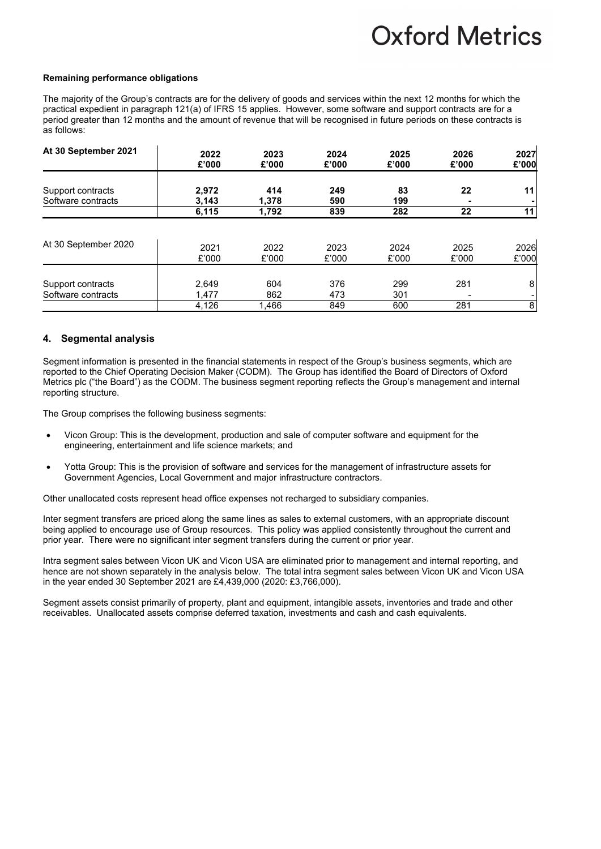#### **Remaining performance obligations**

The majority of the Group's contracts are for the delivery of goods and services within the next 12 months for which the practical expedient in paragraph 121(a) of IFRS 15 applies. However, some software and support contracts are for a period greater than 12 months and the amount of revenue that will be recognised in future periods on these contracts is as follows:

| At 30 September 2021                    | 2022                    | 2023                | 2024              | 2025              | 2026                                   | 2027   |
|-----------------------------------------|-------------------------|---------------------|-------------------|-------------------|----------------------------------------|--------|
|                                         | £'000                   | £'000               | £'000             | £'000             | £'000                                  | £'000  |
| Support contracts<br>Software contracts | 2,972<br>3,143          | 414<br>1.378        | 249<br>590        | 83<br>199         | 22                                     | 11     |
| At 30 September 2020                    | 6,115                   | 1,792               | 839               | 282               | 22                                     | 11     |
|                                         | 2021                    | 2022                | 2023              | 2024              | 2025                                   | 2026   |
|                                         | £'000                   | £'000               | £'000             | £'000             | £'000                                  | £'000  |
| Support contracts<br>Software contracts | 2,649<br>1,477<br>4,126 | 604<br>862<br>1,466 | 376<br>473<br>849 | 299<br>301<br>600 | 281<br>$\overline{\phantom{a}}$<br>281 | 8<br>8 |

#### **4. Segmental analysis**

Segment information is presented in the financial statements in respect of the Group's business segments, which are reported to the Chief Operating Decision Maker (CODM). The Group has identified the Board of Directors of Oxford Metrics plc ("the Board") as the CODM. The business segment reporting reflects the Group's management and internal reporting structure.

The Group comprises the following business segments:

- Vicon Group: This is the development, production and sale of computer software and equipment for the engineering, entertainment and life science markets; and
- Yotta Group: This is the provision of software and services for the management of infrastructure assets for Government Agencies, Local Government and major infrastructure contractors.

Other unallocated costs represent head office expenses not recharged to subsidiary companies.

Inter segment transfers are priced along the same lines as sales to external customers, with an appropriate discount being applied to encourage use of Group resources. This policy was applied consistently throughout the current and prior year. There were no significant inter segment transfers during the current or prior year.

Intra segment sales between Vicon UK and Vicon USA are eliminated prior to management and internal reporting, and hence are not shown separately in the analysis below. The total intra segment sales between Vicon UK and Vicon USA in the year ended 30 September 2021 are £4,439,000 (2020: £3,766,000).

Segment assets consist primarily of property, plant and equipment, intangible assets, inventories and trade and other receivables. Unallocated assets comprise deferred taxation, investments and cash and cash equivalents.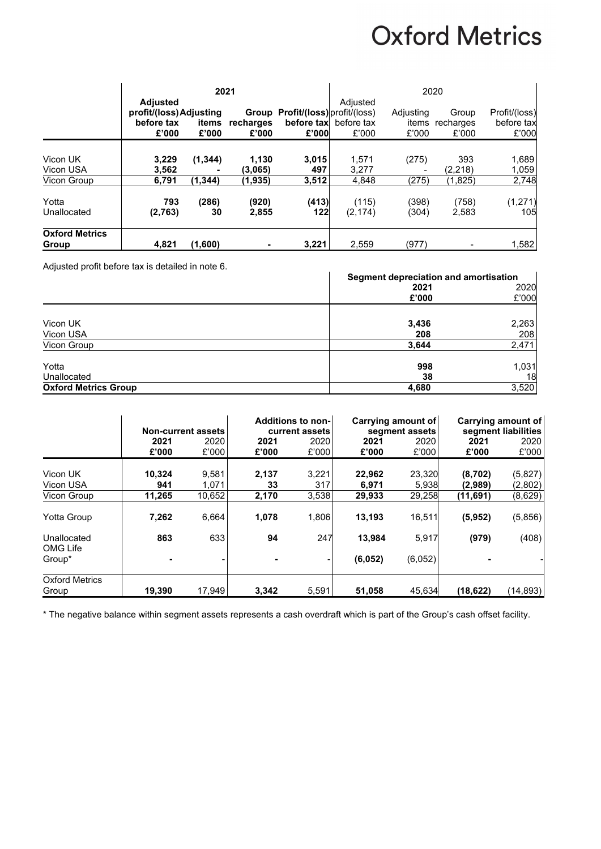|                                | 2021                                                              |                |                    |                                            | 2020                                              |                             |                             |                                      |
|--------------------------------|-------------------------------------------------------------------|----------------|--------------------|--------------------------------------------|---------------------------------------------------|-----------------------------|-----------------------------|--------------------------------------|
|                                | <b>Adjusted</b><br>profit/(loss) Adjusting<br>before tax<br>£'000 | items<br>£'000 | recharges<br>£'000 | Group Profit/(loss) profit/(loss)<br>£'000 | Adjusted<br><b>before tax</b> before tax<br>£'000 | Adjusting<br>items<br>£'000 | Group<br>recharges<br>£'000 | Profit/(loss)<br>before tax<br>£'000 |
| Vicon UK<br>Vicon USA          | 3,229<br>3,562                                                    | (1, 344)       | 1,130<br>(3.065)   | 3,015<br>497                               | 1,571<br>3,277                                    | (275)                       | 393<br>(2, 218)             | 1,689<br>1,059                       |
| Vicon Group                    | 6,791                                                             | (1, 344)       | (1.935)            | 3,512                                      | 4,848                                             | (275)                       | (1,825)                     | 2,748                                |
| Yotta<br>Unallocated           | 793<br>(2,763)                                                    | (286)<br>30    | (920)<br>2,855     | (413)<br>122                               | (115)<br>(2, 174)                                 | (398)<br>(304)              | (758)<br>2,583              | (1, 271)<br>105                      |
| <b>Oxford Metrics</b><br>Group | 4,821                                                             | (1,600)        |                    | 3,221                                      | 2,559                                             | (977)                       |                             | 1,582                                |

Adjusted profit before tax is detailed in note 6.

| Adjusted profit before tax is detailed in note 6. |                                       |       |
|---------------------------------------------------|---------------------------------------|-------|
|                                                   | Segment depreciation and amortisation |       |
|                                                   | 2021                                  | 2020  |
|                                                   | £'000                                 | £'000 |
|                                                   |                                       |       |
| Vicon UK                                          | 3,436                                 | 2,263 |
| Vicon USA                                         | 208                                   | 208   |
| Vicon Group                                       | 3,644                                 | 2,471 |
| Yotta                                             | 998                                   | 1,031 |
|                                                   |                                       |       |
| Unallocated                                       | 38                                    | 18    |
| <b>Oxford Metrics Group</b>                       | 4,680                                 | 3,520 |

|                                | <b>Non-current assets</b> |                | Additions to non-<br>current assets |                          | Carrying amount of<br>segment assets |                 | Carrying amount of<br>segment liabilities |                    |
|--------------------------------|---------------------------|----------------|-------------------------------------|--------------------------|--------------------------------------|-----------------|-------------------------------------------|--------------------|
|                                | 2021<br>£'000             | 2020<br>£'000  | 2021<br>£'000                       | 2020<br>£'000            | 2021<br>£'000                        | 2020<br>£'000   | 2021<br>£'000                             | 2020<br>£'000      |
| Vicon UK<br>Vicon USA          | 10,324<br>941             | 9,581<br>1,071 | 2,137<br>33                         | 3,221<br>317             | 22,962<br>6,971                      | 23,320<br>5,938 | (8,702)<br>(2,989)                        | (5,827)<br>(2,802) |
| Vicon Group                    | 11,265                    | 10,652         | 2,170                               | 3,538                    | 29,933                               | 29,258          | (11,691)                                  | (8,629)            |
| <b>Yotta Group</b>             | 7,262                     | 6,664          | 1,078                               | 1,806                    | 13,193                               | 16,511          | (5,952)                                   | (5,856)            |
| Unallocated<br>OMG Life        | 863                       | 633            | 94                                  | 247                      | 13,984                               | 5,917           | (979)                                     | (408)              |
| Group*                         | -                         |                |                                     | $\overline{\phantom{a}}$ | (6,052)                              | (6,052)         |                                           |                    |
| <b>Oxford Metrics</b><br>Group | 19,390                    | 17,949         | 3,342                               | 5,591                    | 51,058                               | 45,634          | (18, 622)                                 | (14, 893)          |

\* The negative balance within segment assets represents a cash overdraft which is part of the Group's cash offset facility.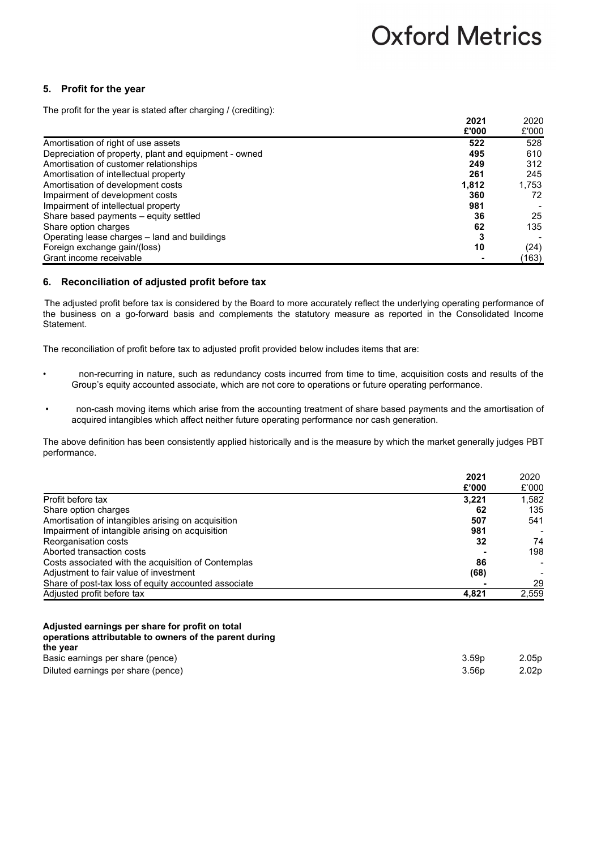### **5. Profit for the year**

The profit for the year is stated after charging / (crediting):

|                                                       | 2021  | 2020  |
|-------------------------------------------------------|-------|-------|
|                                                       | £'000 | £'000 |
| Amortisation of right of use assets                   | 522   | 528   |
| Depreciation of property, plant and equipment - owned | 495   | 610   |
| Amortisation of customer relationships                | 249   | 312   |
| Amortisation of intellectual property                 | 261   | 245   |
| Amortisation of development costs                     | 1.812 | 1.753 |
| Impairment of development costs                       | 360   | 72    |
| Impairment of intellectual property                   | 981   |       |
| Share based payments - equity settled                 | 36    | 25    |
| Share option charges                                  | 62    | 135   |
| Operating lease charges – land and buildings          |       |       |
| Foreign exchange gain/(loss)                          | 10    | (24)  |
| Grant income receivable                               |       | (163) |

### **6. Reconciliation of adjusted profit before tax**

The adjusted profit before tax is considered by the Board to more accurately reflect the underlying operating performance of the business on a go-forward basis and complements the statutory measure as reported in the Consolidated Income Statement.

The reconciliation of profit before tax to adjusted profit provided below includes items that are:

- non-recurring in nature, such as redundancy costs incurred from time to time, acquisition costs and results of the Group's equity accounted associate, which are not core to operations or future operating performance.
- non-cash moving items which arise from the accounting treatment of share based payments and the amortisation of acquired intangibles which affect neither future operating performance nor cash generation.

The above definition has been consistently applied historically and is the measure by which the market generally judges PBT performance.

|                                                      | 2021  | 2020  |
|------------------------------------------------------|-------|-------|
|                                                      | £'000 | £'000 |
| Profit before tax                                    | 3,221 | 1,582 |
| Share option charges                                 | 62    | 135   |
| Amortisation of intangibles arising on acquisition   | 507   | 541   |
| Impairment of intangible arising on acquisition      | 981   |       |
| Reorganisation costs                                 | 32    | 74    |
| Aborted transaction costs                            |       | 198   |
| Costs associated with the acquisition of Contemplas  | 86    |       |
| Adjustment to fair value of investment               | (68)  |       |
| Share of post-tax loss of equity accounted associate |       | 29    |
| Adjusted profit before tax                           | 4.821 | 2,559 |

| Adjusted earnings per share for profit on total        |
|--------------------------------------------------------|
| operations attributable to owners of the parent during |
| the year                                               |
| Basic earnings per share (pence)                       |
|                                                        |

| Basic earnings per share (pence)   | 3.59p | 2.05p             |
|------------------------------------|-------|-------------------|
| Diluted earnings per share (pence) | 3.56p | 2.02 <sub>p</sub> |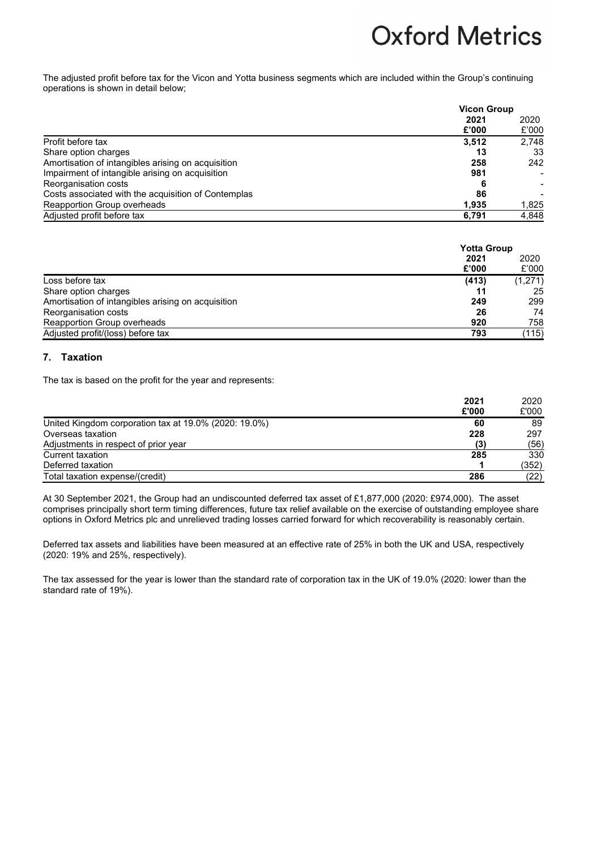The adjusted profit before tax for the Vicon and Yotta business segments which are included within the Group's continuing operations is shown in detail below;

|                                                     | <b>Vicon Group</b> |               |
|-----------------------------------------------------|--------------------|---------------|
|                                                     | 2021<br>£'000      | 2020<br>£'000 |
| Profit before tax                                   | 3.512              | 2.748         |
| Share option charges                                | 13                 | 33            |
| Amortisation of intangibles arising on acquisition  | 258                | 242           |
| Impairment of intangible arising on acquisition     | 981                |               |
| Reorganisation costs                                |                    |               |
| Costs associated with the acquisition of Contemplas | 86                 |               |
| Reapportion Group overheads                         | 1.935              | 1,825         |
| Adjusted profit before tax                          | 6,791              | 4,848         |

|                                                    | <b>Yotta Group</b> |               |
|----------------------------------------------------|--------------------|---------------|
|                                                    | 2021               | 2020<br>£'000 |
|                                                    | £'000              |               |
| Loss before tax                                    | (413)              | (1,271)       |
| Share option charges                               |                    | 25            |
| Amortisation of intangibles arising on acquisition | 249                | 299           |
| Reorganisation costs                               | 26                 | 74            |
| Reapportion Group overheads                        | 920                | 758           |
| Adjusted profit/(loss) before tax                  | 793                | (115)         |

### **7. Taxation**

The tax is based on the profit for the year and represents:

|                                                       | 2021  | 2020  |
|-------------------------------------------------------|-------|-------|
|                                                       | £'000 | £'000 |
| United Kingdom corporation tax at 19.0% (2020: 19.0%) | 60    | 89    |
| Overseas taxation                                     | 228   | 297   |
| Adjustments in respect of prior year                  | (3)   | (56)  |
| Current taxation                                      | 285   | 330   |
| Deferred taxation                                     |       | (352) |
| Total taxation expense/(credit)                       | 286   | (22)  |

At 30 September 2021, the Group had an undiscounted deferred tax asset of £1,877,000 (2020: £974,000). The asset comprises principally short term timing differences, future tax relief available on the exercise of outstanding employee share options in Oxford Metrics plc and unrelieved trading losses carried forward for which recoverability is reasonably certain.

Deferred tax assets and liabilities have been measured at an effective rate of 25% in both the UK and USA, respectively (2020: 19% and 25%, respectively).

The tax assessed for the year is lower than the standard rate of corporation tax in the UK of 19.0% (2020: lower than the standard rate of 19%).